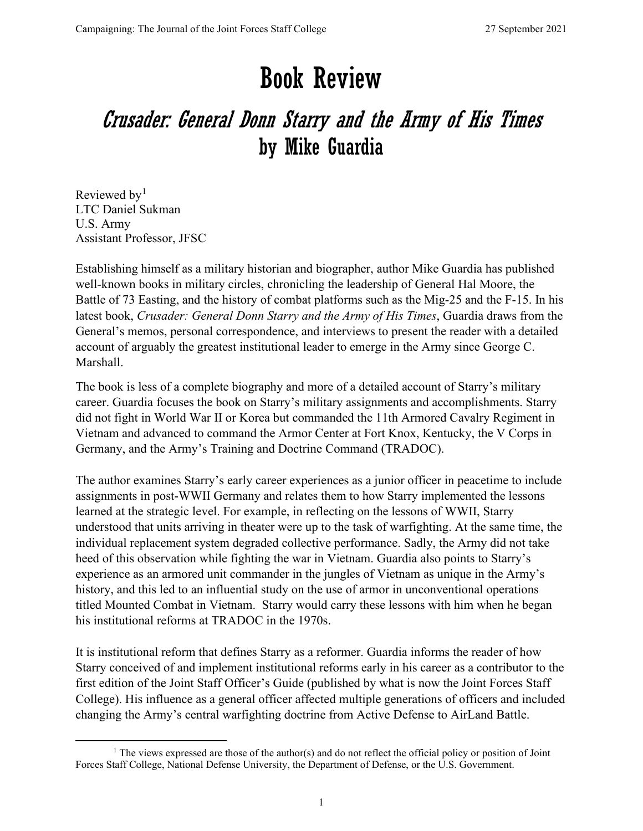## Book Review

## Crusader: General Donn Starry and the Army of His Times by Mike Guardia

Reviewed by<sup>[1](#page-0-0)</sup> LTC Daniel Sukman U.S. Army Assistant Professor, JFSC

Establishing himself as a military historian and biographer, author Mike Guardia has published well-known books in military circles, chronicling the leadership of General Hal Moore, the Battle of 73 Easting, and the history of combat platforms such as the Mig-25 and the F-15. In his latest book, *Crusader: General Donn Starry and the Army of His Times*, Guardia draws from the General's memos, personal correspondence, and interviews to present the reader with a detailed account of arguably the greatest institutional leader to emerge in the Army since George C. Marshall.

The book is less of a complete biography and more of a detailed account of Starry's military career. Guardia focuses the book on Starry's military assignments and accomplishments. Starry did not fight in World War II or Korea but commanded the 11th Armored Cavalry Regiment in Vietnam and advanced to command the Armor Center at Fort Knox, Kentucky, the V Corps in Germany, and the Army's Training and Doctrine Command (TRADOC).

The author examines Starry's early career experiences as a junior officer in peacetime to include assignments in post-WWII Germany and relates them to how Starry implemented the lessons learned at the strategic level. For example, in reflecting on the lessons of WWII, Starry understood that units arriving in theater were up to the task of warfighting. At the same time, the individual replacement system degraded collective performance. Sadly, the Army did not take heed of this observation while fighting the war in Vietnam. Guardia also points to Starry's experience as an armored unit commander in the jungles of Vietnam as unique in the Army's history, and this led to an influential study on the use of armor in unconventional operations titled Mounted Combat in Vietnam. Starry would carry these lessons with him when he began his institutional reforms at TRADOC in the 1970s.

It is institutional reform that defines Starry as a reformer. Guardia informs the reader of how Starry conceived of and implement institutional reforms early in his career as a contributor to the first edition of the Joint Staff Officer's Guide (published by what is now the Joint Forces Staff College). His influence as a general officer affected multiple generations of officers and included changing the Army's central warfighting doctrine from Active Defense to AirLand Battle.

<span id="page-0-0"></span><sup>&</sup>lt;sup>1</sup> The views expressed are those of the author(s) and do not reflect the official policy or position of Joint Forces Staff College, National Defense University, the Department of Defense, or the U.S. Government.